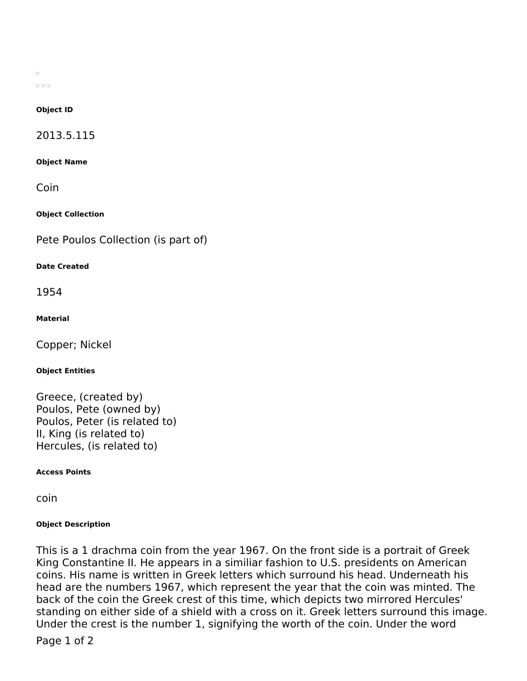$\Box$  $\Box$   $\Box$   $\Box$ 

### **Object ID**

2013.5.115

**Object Name**

Coin

**Object Collection**

Pete Poulos Collection (is part of)

## **Date Created**

1954

## **Material**

Copper; Nickel

### **Object Entities**

Greece, (created by) Poulos, Pete (owned by) Poulos, Peter (is related to) II, King (is related to) Hercules, (is related to)

**Access Points**

coin

# **Object Description**

This is a 1 drachma coin from the year 1967. On the front side is a portrait of Greek King Constantine II. He appears in a similiar fashion to U.S. presidents on American coins. His name is written in Greek letters which surround his head. Underneath his head are the numbers 1967, which represent the year that the coin was minted. The back of the coin the Greek crest of this time, which depicts two mirrored Hercules' standing on either side of a shield with a cross on it. Greek letters surround this image. Under the crest is the number 1, signifying the worth of the coin. Under the word

Page 1 of 2